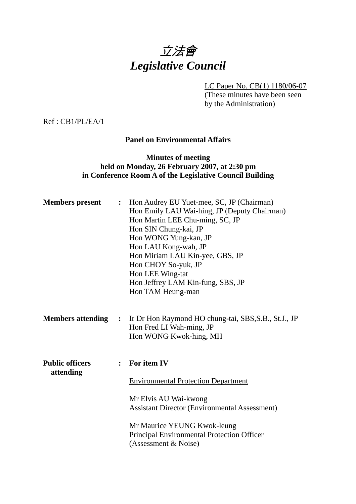# 立法會 *Legislative Council*

LC Paper No. CB(1) 1180/06-07

(These minutes have been seen by the Administration)

Ref : CB1/PL/EA/1

#### **Panel on Environmental Affairs**

#### **Minutes of meeting held on Monday, 26 February 2007, at 2:30 pm in Conference Room A of the Legislative Council Building**

| <b>Members</b> present              |                | : Hon Audrey EU Yuet-mee, SC, JP (Chairman)<br>Hon Emily LAU Wai-hing, JP (Deputy Chairman)<br>Hon Martin LEE Chu-ming, SC, JP<br>Hon SIN Chung-kai, JP<br>Hon WONG Yung-kan, JP<br>Hon LAU Kong-wah, JP<br>Hon Miriam LAU Kin-yee, GBS, JP<br>Hon CHOY So-yuk, JP<br>Hon LEE Wing-tat<br>Hon Jeffrey LAM Kin-fung, SBS, JP<br>Hon TAM Heung-man |  |  |  |
|-------------------------------------|----------------|--------------------------------------------------------------------------------------------------------------------------------------------------------------------------------------------------------------------------------------------------------------------------------------------------------------------------------------------------|--|--|--|
| <b>Members attending</b>            |                | : Ir Dr Hon Raymond HO chung-tai, SBS, S.B., St.J., JP<br>Hon Fred LI Wah-ming, JP<br>Hon WONG Kwok-hing, MH                                                                                                                                                                                                                                     |  |  |  |
| <b>Public officers</b><br>attending | $\ddot{\cdot}$ | For item IV<br><b>Environmental Protection Department</b><br>Mr Elvis AU Wai-kwong<br><b>Assistant Director (Environmental Assessment)</b><br>Mr Maurice YEUNG Kwok-leung<br>Principal Environmental Protection Officer<br>(Assessment & Noise)                                                                                                  |  |  |  |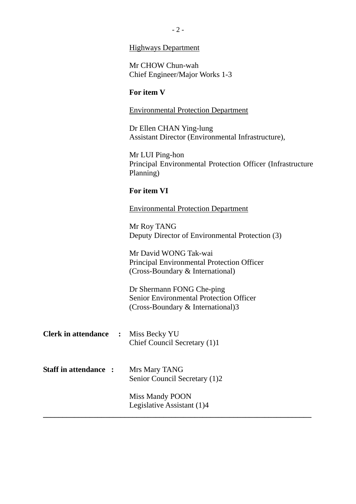#### Highways Department

Mr CHOW Chun-wah Chief Engineer/Major Works 1-3

#### **For item V**

#### Environmental Protection Department

Dr Ellen CHAN Ying-lung Assistant Director (Environmental Infrastructure),

Mr LUI Ping-hon Principal Environmental Protection Officer (Infrastructure Planning)

#### **For item VI**

Environmental Protection Department

Mr Roy TANG Deputy Director of Environmental Protection (3)

Mr David WONG Tak-wai Principal Environmental Protection Officer (Cross-Boundary & International)

Dr Shermann FONG Che-ping Senior Environmental Protection Officer (Cross-Boundary & International)3

- **Clerk in attendance :** Miss Becky YU Chief Council Secretary (1)1
- **Staff in attendance :** Mrs Mary TANG Senior Council Secretary (1)2

Miss Mandy POON Legislative Assistant (1)4 **\_\_\_\_\_\_\_\_\_\_\_\_\_\_\_\_\_\_\_\_\_\_\_\_\_\_\_\_\_\_\_\_\_\_\_\_\_\_\_\_\_\_\_\_\_\_\_\_\_\_\_\_\_\_\_\_\_\_\_\_\_\_\_\_\_\_\_\_\_**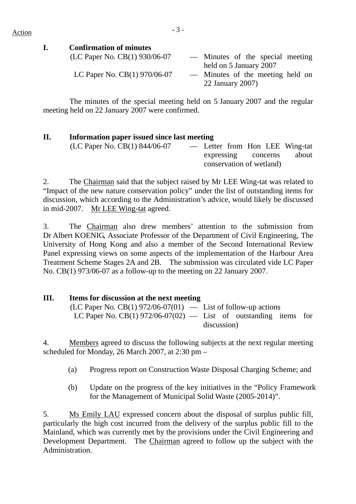## $Action$

#### **I. Confirmation of minutes**

| (LC Paper No. CB(1) 930/06-07  | — Minutes of the special meeting |
|--------------------------------|----------------------------------|
|                                | held on 5 January 2007           |
| LC Paper No. $CB(1)$ 970/06-07 | — Minutes of the meeting held on |
|                                | 22 January 2007)                 |

 The minutes of the special meeting held on 5 January 2007 and the regular meeting held on 22 January 2007 were confirmed.

#### **II. Information paper issued since last meeting**

| (LC Paper No. CB $(1)$ 844/06-07 |                          |  |  |  | - Letter from Hon LEE Wing-tat |
|----------------------------------|--------------------------|--|--|--|--------------------------------|
|                                  | expressing concerns      |  |  |  | about                          |
|                                  | conservation of wetland) |  |  |  |                                |

2. The Chairman said that the subject raised by Mr LEE Wing-tat was related to "Impact of the new nature conservation policy" under the list of outstanding items for discussion, which according to the Administration's advice, would likely be discussed in mid-2007. Mr LEE Wing-tat agreed.

3. The Chairman also drew members' attention to the submission from Dr Albert KOENIG, Associate Professor of the Department of Civil Engineering, The University of Hong Kong and also a member of the Second International Review Panel expressing views on some aspects of the implementation of the Harbour Area Treatment Scheme Stages 2A and 2B. The submission was circulated vide LC Paper No. CB(1) 973/06-07 as a follow-up to the meeting on 22 January 2007.

#### **III. Items for discussion at the next meeting**

(LC Paper No. CB(1) 972/06-07(01)  $-$  List of follow-up actions LC Paper No.  $CB(1)$  972/06-07(02) — List of outstanding items for discussion)

4. Members agreed to discuss the following subjects at the next regular meeting scheduled for Monday, 26 March 2007, at  $2:30$  pm –

- (a) Progress report on Construction Waste Disposal Charging Scheme; and
- (b) Update on the progress of the key initiatives in the "Policy Framework for the Management of Municipal Solid Waste (2005-2014)".

5. Ms Emily LAU expressed concern about the disposal of surplus public fill, particularly the high cost incurred from the delivery of the surplus public fill to the Mainland, which was currently met by the provisions under the Civil Engineering and Development Department. The Chairman agreed to follow up the subject with the Administration.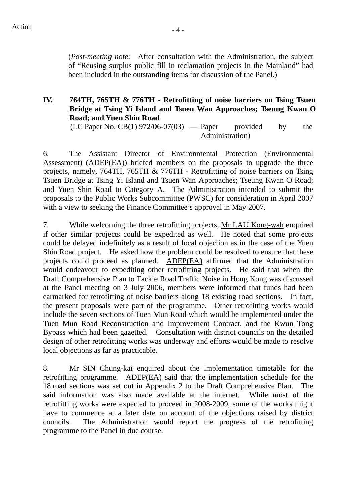(*Post-meeting note*: After consultation with the Administration, the subject of "Reusing surplus public fill in reclamation projects in the Mainland" had been included in the outstanding items for discussion of the Panel.)

## **IV. 764TH, 765TH & 776TH - Retrofitting of noise barriers on Tsing Tsuen Bridge at Tsing Yi Island and Tsuen Wan Approaches; Tseung Kwan O Road; and Yuen Shin Road**

 $(LC$  Paper No.  $CB(1)$  972/06-07(03) — Paper provided by the Administration)

6. The Assistant Director of Environmental Protection (Environmental Assessment) (ADEP(EA)) briefed members on the proposals to upgrade the three projects, namely, 764TH, 765TH & 776TH - Retrofitting of noise barriers on Tsing Tsuen Bridge at Tsing Yi Island and Tsuen Wan Approaches; Tseung Kwan O Road; and Yuen Shin Road to Category A. The Administration intended to submit the proposals to the Public Works Subcommittee (PWSC) for consideration in April 2007 with a view to seeking the Finance Committee's approval in May 2007.

7. While welcoming the three retrofitting projects, Mr LAU Kong-wah enquired if other similar projects could be expedited as well. He noted that some projects could be delayed indefinitely as a result of local objection as in the case of the Yuen Shin Road project. He asked how the problem could be resolved to ensure that these projects could proceed as planned. ADEP(EA) affirmed that the Administration would endeavour to expediting other retrofitting projects. He said that when the Draft Comprehensive Plan to Tackle Road Traffic Noise in Hong Kong was discussed at the Panel meeting on 3 July 2006, members were informed that funds had been earmarked for retrofitting of noise barriers along 18 existing road sections. In fact, the present proposals were part of the programme. Other retrofitting works would include the seven sections of Tuen Mun Road which would be implemented under the Tuen Mun Road Reconstruction and Improvement Contract, and the Kwun Tong Bypass which had been gazetted. Consultation with district councils on the detailed design of other retrofitting works was underway and efforts would be made to resolve local objections as far as practicable.

8. Mr SIN Chung-kai enquired about the implementation timetable for the retrofitting programme. ADEP(EA) said that the implementation schedule for the 18 road sections was set out in Appendix 2 to the Draft Comprehensive Plan. The said information was also made available at the internet. While most of the retrofitting works were expected to proceed in 2008-2009, some of the works might have to commence at a later date on account of the objections raised by district councils. The Administration would report the progress of the retrofitting programme to the Panel in due course.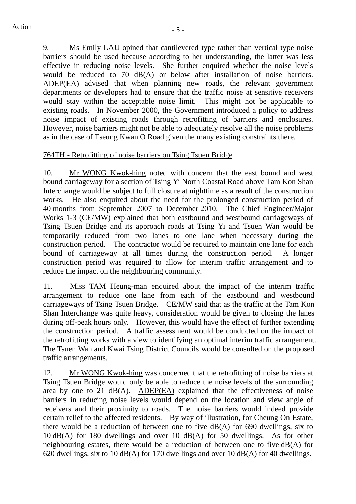9. Ms Emily LAU opined that cantilevered type rather than vertical type noise barriers should be used because according to her understanding, the latter was less effective in reducing noise levels. She further enquired whether the noise levels would be reduced to 70 dB(A) or below after installation of noise barriers. ADEP(EA) advised that when planning new roads, the relevant government departments or developers had to ensure that the traffic noise at sensitive receivers would stay within the acceptable noise limit. This might not be applicable to existing roads. In November 2000, the Government introduced a policy to address noise impact of existing roads through retrofitting of barriers and enclosures. However, noise barriers might not be able to adequately resolve all the noise problems as in the case of Tseung Kwan O Road given the many existing constraints there.

## 764TH - Retrofitting of noise barriers on Tsing Tsuen Bridge

10. Mr WONG Kwok-hing noted with concern that the east bound and west bound carriageway for a section of Tsing Yi North Coastal Road above Tam Kon Shan Interchange would be subject to full closure at nighttime as a result of the construction works. He also enquired about the need for the prolonged construction period of 40 months from September 2007 to December 2010. The Chief Engineer/Major Works 1-3 (CE/MW) explained that both eastbound and westbound carriageways of Tsing Tsuen Bridge and its approach roads at Tsing Yi and Tsuen Wan would be temporarily reduced from two lanes to one lane when necessary during the construction period. The contractor would be required to maintain one lane for each bound of carriageway at all times during the construction period. A longer construction period was required to allow for interim traffic arrangement and to reduce the impact on the neighbouring community.

11. Miss TAM Heung-man enquired about the impact of the interim traffic arrangement to reduce one lane from each of the eastbound and westbound carriageways of Tsing Tsuen Bridge. CE/MW said that as the traffic at the Tam Kon Shan Interchange was quite heavy, consideration would be given to closing the lanes during off-peak hours only. However, this would have the effect of further extending the construction period. A traffic assessment would be conducted on the impact of the retrofitting works with a view to identifying an optimal interim traffic arrangement. The Tsuen Wan and Kwai Tsing District Councils would be consulted on the proposed traffic arrangements.

12. Mr WONG Kwok-hing was concerned that the retrofitting of noise barriers at Tsing Tsuen Bridge would only be able to reduce the noise levels of the surrounding area by one to 21 dB(A). ADEP(EA) explained that the effectiveness of noise barriers in reducing noise levels would depend on the location and view angle of receivers and their proximity to roads. The noise barriers would indeed provide certain relief to the affected residents. By way of illustration, for Cheung On Estate, there would be a reduction of between one to five dB(A) for 690 dwellings, six to 10 dB(A) for 180 dwellings and over 10 dB(A) for 50 dwellings. As for other neighbouring estates, there would be a reduction of between one to five dB(A) for 620 dwellings, six to 10 dB(A) for 170 dwellings and over 10 dB(A) for 40 dwellings.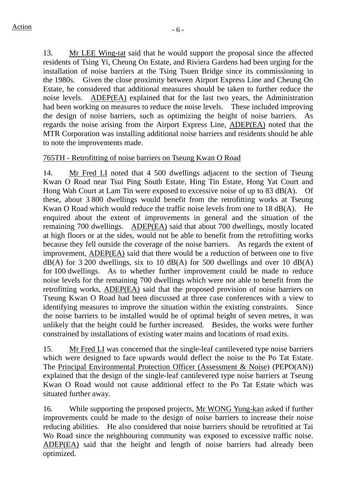13. Mr LEE Wing-tat said that he would support the proposal since the affected residents of Tsing Yi, Cheung On Estate, and Riviera Gardens had been urging for the installation of noise barriers at the Tsing Tsuen Bridge since its commissioning in the 1980s. Given the close proximity between Airport Express Line and Cheung On Estate, he considered that additional measures should be taken to further reduce the noise levels. ADEP(EA) explained that for the last two years, the Administration had been working on measures to reduce the noise levels. These included improving the design of noise barriers, such as optimizing the height of noise barriers. regards the noise arising from the Airport Express Line, ADEP(EA) noted that the MTR Corporation was installing additional noise barriers and residents should be able to note the improvements made.

#### 765TH - Retrofitting of noise barriers on Tseung Kwan O Road

14. Mr Fred LI noted that 4 500 dwellings adjacent to the section of Tseung Kwan O Road near Tsui Ping South Estate, Hing Tin Estate, Hong Yat Court and Hong Wah Court at Lam Tin were exposed to excessive noise of up to 83 dB(A). Of these, about 3 800 dwellings would benefit from the retrofitting works at Tseung Kwan O Road which would reduce the traffic noise levels from one to 18 dB(A). He enquired about the extent of improvements in general and the situation of the remaining 700 dwellings. ADEP(EA) said that about 700 dwellings, mostly located at high floors or at the sides, would not be able to benefit from the retrofitting works because they fell outside the coverage of the noise barriers. As regards the extent of improvement, ADEP(EA) said that there would be a reduction of between one to five  $dB(A)$  for 3 200 dwellings, six to 10 dB(A) for 500 dwellings and over 10 dB(A) for 100 dwellings. As to whether further improvement could be made to reduce noise levels for the remaining 700 dwellings which were not able to benefit from the retrofitting works, ADEP(EA) said that the proposed provision of noise barriers on Tseung Kwan O Road had been discussed at three case conferences with a view to identifying measures to improve the situation within the existing constraints. Since the noise barriers to be installed would be of optimal height of seven metres, it was unlikely that the height could be further increased. Besides, the works were further constrained by installations of existing water mains and locations of road exits.

15. Mr Fred LI was concerned that the single-leaf cantilevered type noise barriers which were designed to face upwards would deflect the noise to the Po Tat Estate. The Principal Environmental Protection Officer (Assessment & Noise) (PEPO(AN)) explained that the design of the single-leaf cantilevered type noise barriers at Tseung Kwan O Road would not cause additional effect to the Po Tat Estate which was situated further away.

16. While supporting the proposed projects, Mr WONG Yung-kan asked if further improvements could be made to the design of noise barriers to increase their noise reducing abilities. He also considered that noise barriers should be retrofitted at Tai Wo Road since the neighbouring community was exposed to excessive traffic noise. ADEP(EA) said that the height and length of noise barriers had already been optimized.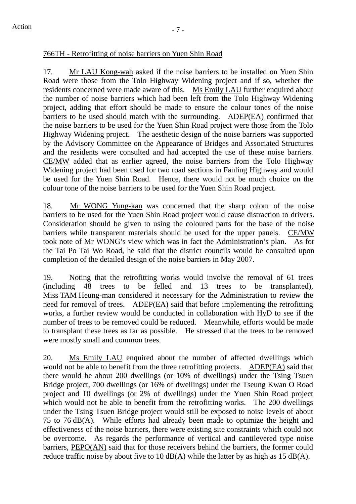### 766TH - Retrofitting of noise barriers on Yuen Shin Road

17. Mr LAU Kong-wah asked if the noise barriers to be installed on Yuen Shin Road were those from the Tolo Highway Widening project and if so, whether the residents concerned were made aware of this. Ms Emily LAU further enquired about the number of noise barriers which had been left from the Tolo Highway Widening project, adding that effort should be made to ensure the colour tones of the noise barriers to be used should match with the surrounding. ADEP(EA) confirmed that the noise barriers to be used for the Yuen Shin Road project were those from the Tolo Highway Widening project. The aesthetic design of the noise barriers was supported by the Advisory Committee on the Appearance of Bridges and Associated Structures and the residents were consulted and had accepted the use of these noise barriers. CE/MW added that as earlier agreed, the noise barriers from the Tolo Highway Widening project had been used for two road sections in Fanling Highway and would be used for the Yuen Shin Road. Hence, there would not be much choice on the colour tone of the noise barriers to be used for the Yuen Shin Road project.

18. Mr WONG Yung-kan was concerned that the sharp colour of the noise barriers to be used for the Yuen Shin Road project would cause distraction to drivers. Consideration should be given to using the coloured parts for the base of the noise barriers while transparent materials should be used for the upper panels. CE/MW took note of Mr WONG's view which was in fact the Administration's plan. As for the Tai Po Tai Wo Road, he said that the district councils would be consulted upon completion of the detailed design of the noise barriers in May 2007.

19. Noting that the retrofitting works would involve the removal of 61 trees (including 48 trees to be felled and 13 trees to be transplanted), Miss TAM Heung-man considered it necessary for the Administration to review the need for removal of trees. ADEP(EA) said that before implementing the retrofitting works, a further review would be conducted in collaboration with HyD to see if the number of trees to be removed could be reduced. Meanwhile, efforts would be made to transplant these trees as far as possible. He stressed that the trees to be removed were mostly small and common trees.

20. Ms Emily LAU enquired about the number of affected dwellings which would not be able to benefit from the three retrofitting projects. ADEP(EA) said that there would be about 200 dwellings (or 10% of dwellings) under the Tsing Tsuen Bridge project, 700 dwellings (or 16% of dwellings) under the Tseung Kwan O Road project and 10 dwellings (or 2% of dwellings) under the Yuen Shin Road project which would not be able to benefit from the retrofitting works. The 200 dwellings under the Tsing Tsuen Bridge project would still be exposed to noise levels of about 75 to 76 dB(A). While efforts had already been made to optimize the height and effectiveness of the noise barriers, there were existing site constraints which could not be overcome. As regards the performance of vertical and cantilevered type noise barriers, PEPO(AN) said that for those receivers behind the barriers, the former could reduce traffic noise by about five to 10  $dB(A)$  while the latter by as high as 15  $dB(A)$ .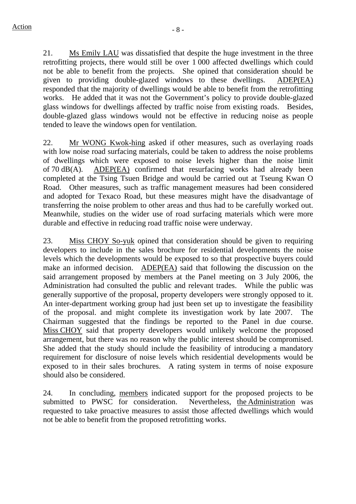21. Ms Emily LAU was dissatisfied that despite the huge investment in the three retrofitting projects, there would still be over 1 000 affected dwellings which could not be able to benefit from the projects. She opined that consideration should be given to providing double-glazed windows to these dwellings. ADEP(EA) responded that the majority of dwellings would be able to benefit from the retrofitting works. He added that it was not the Government's policy to provide double-glazed glass windows for dwellings affected by traffic noise from existing roads. Besides, double-glazed glass windows would not be effective in reducing noise as people tended to leave the windows open for ventilation.

22. Mr WONG Kwok-hing asked if other measures, such as overlaying roads with low noise road surfacing materials, could be taken to address the noise problems of dwellings which were exposed to noise levels higher than the noise limit of 70 dB(A). ADEP(EA) confirmed that resurfacing works had already been completed at the Tsing Tsuen Bridge and would be carried out at Tseung Kwan O Road. Other measures, such as traffic management measures had been considered and adopted for Texaco Road, but these measures might have the disadvantage of transferring the noise problem to other areas and thus had to be carefully worked out. Meanwhile, studies on the wider use of road surfacing materials which were more durable and effective in reducing road traffic noise were underway.

23. Miss CHOY So-yuk opined that consideration should be given to requiring developers to include in the sales brochure for residential developments the noise levels which the developments would be exposed to so that prospective buyers could make an informed decision. ADEP(EA) said that following the discussion on the said arrangement proposed by members at the Panel meeting on 3 July 2006, the Administration had consulted the public and relevant trades. While the public was generally supportive of the proposal, property developers were strongly opposed to it. An inter-department working group had just been set up to investigate the feasibility of the proposal. and might complete its investigation work by late 2007. The Chairman suggested that the findings be reported to the Panel in due course. Miss CHOY said that property developers would unlikely welcome the proposed arrangement, but there was no reason why the public interest should be compromised. She added that the study should include the feasibility of introducing a mandatory requirement for disclosure of noise levels which residential developments would be exposed to in their sales brochures. A rating system in terms of noise exposure should also be considered.

24. In concluding, members indicated support for the proposed projects to be submitted to PWSC for consideration. Nevertheless, the Administration was requested to take proactive measures to assist those affected dwellings which would not be able to benefit from the proposed retrofitting works.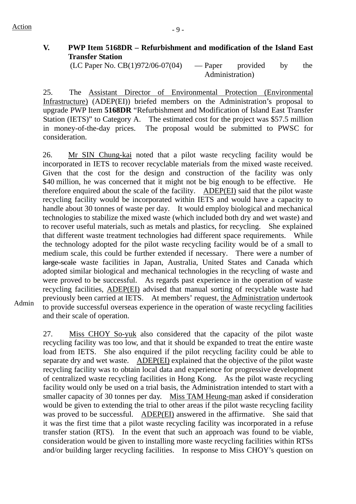$Action$   $-9$  -

## **V. PWP Item 5168DR – Refurbishment and modification of the Island East Transfer Station**

 $(LC$  Paper No.  $CB(1)972/06-07(04)$  — Paper provided by the Administration)

25. The Assistant Director of Environmental Protection (Environmental Infrastructure) (ADEP(EI)) briefed members on the Administration's proposal to upgrade PWP Item **5168DR** "Refurbishment and Modification of Island East Transfer Station (IETS)" to Category A. The estimated cost for the project was \$57.5 million in money-of-the-day prices. The proposal would be submitted to PWSC for consideration.

26. Mr SIN Chung-kai noted that a pilot waste recycling facility would be incorporated in IETS to recover recyclable materials from the mixed waste received. Given that the cost for the design and construction of the facility was only \$40 million, he was concerned that it might not be big enough to be effective. He therefore enquired about the scale of the facility. ADEP(EI) said that the pilot waste recycling facility would be incorporated within IETS and would have a capacity to handle about 30 tonnes of waste per day. It would employ biological and mechanical technologies to stabilize the mixed waste (which included both dry and wet waste) and to recover useful materials, such as metals and plastics, for recycling. She explained that different waste treatment technologies had different space requirements. While the technology adopted for the pilot waste recycling facility would be of a small to medium scale, this could be further extended if necessary. There were a number of large-scale waste facilities in Japan, Australia, United States and Canada which adopted similar biological and mechanical technologies in the recycling of waste and were proved to be successful. As regards past experience in the operation of waste recycling facilities, ADEP(EI) advised that manual sorting of recyclable waste had previously been carried at IETS. At members' request, the Administration undertook to provide successful overseas experience in the operation of waste recycling facilities and their scale of operation.

Admin

27. Miss CHOY So-yuk also considered that the capacity of the pilot waste recycling facility was too low, and that it should be expanded to treat the entire waste load from IETS. She also enquired if the pilot recycling facility could be able to separate dry and wet waste. ADEP(EI) explained that the objective of the pilot waste recycling facility was to obtain local data and experience for progressive development of centralized waste recycling facilities in Hong Kong. As the pilot waste recycling facility would only be used on a trial basis, the Administration intended to start with a smaller capacity of 30 tonnes per day. Miss TAM Heung-man asked if consideration would be given to extending the trial to other areas if the pilot waste recycling facility was proved to be successful. ADEP(EI) answered in the affirmative. She said that it was the first time that a pilot waste recycling facility was incorporated in a refuse transfer station (RTS). In the event that such an approach was found to be viable, consideration would be given to installing more waste recycling facilities within RTSs and/or building larger recycling facilities. In response to Miss CHOY's question on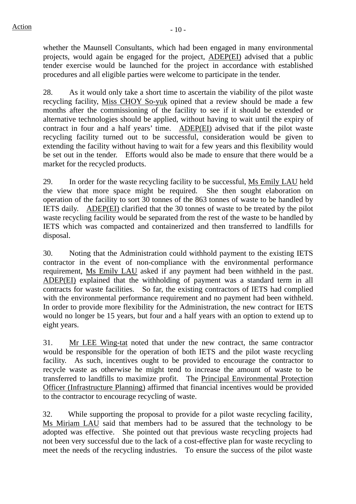whether the Maunsell Consultants, which had been engaged in many environmental projects, would again be engaged for the project, ADEP(EI) advised that a public tender exercise would be launched for the project in accordance with established procedures and all eligible parties were welcome to participate in the tender.

28. As it would only take a short time to ascertain the viability of the pilot waste recycling facility, Miss CHOY So-yuk opined that a review should be made a few months after the commissioning of the facility to see if it should be extended or alternative technologies should be applied, without having to wait until the expiry of contract in four and a half years' time. ADEP(EI) advised that if the pilot waste recycling facility turned out to be successful, consideration would be given to extending the facility without having to wait for a few years and this flexibility would be set out in the tender. Efforts would also be made to ensure that there would be a market for the recycled products.

29. In order for the waste recycling facility to be successful, Ms Emily LAU held the view that more space might be required. She then sought elaboration on operation of the facility to sort 30 tonnes of the 863 tonnes of waste to be handled by IETS daily. ADEP(EI) clarified that the 30 tonnes of waste to be treated by the pilot waste recycling facility would be separated from the rest of the waste to be handled by IETS which was compacted and containerized and then transferred to landfills for disposal.

30. Noting that the Administration could withhold payment to the existing IETS contractor in the event of non-compliance with the environmental performance requirement, Ms Emily LAU asked if any payment had been withheld in the past. ADEP(EI) explained that the withholding of payment was a standard term in all contracts for waste facilities. So far, the existing contractors of IETS had complied with the environmental performance requirement and no payment had been withheld. In order to provide more flexibility for the Administration, the new contract for IETS would no longer be 15 years, but four and a half years with an option to extend up to eight years.

31. Mr LEE Wing-tat noted that under the new contract, the same contractor would be responsible for the operation of both IETS and the pilot waste recycling facility. As such, incentives ought to be provided to encourage the contractor to recycle waste as otherwise he might tend to increase the amount of waste to be transferred to landfills to maximize profit. The Principal Environmental Protection Officer (Infrastructure Planning) affirmed that financial incentives would be provided to the contractor to encourage recycling of waste.

32. While supporting the proposal to provide for a pilot waste recycling facility, Ms Miriam LAU said that members had to be assured that the technology to be adopted was effective. She pointed out that previous waste recycling projects had not been very successful due to the lack of a cost-effective plan for waste recycling to meet the needs of the recycling industries. To ensure the success of the pilot waste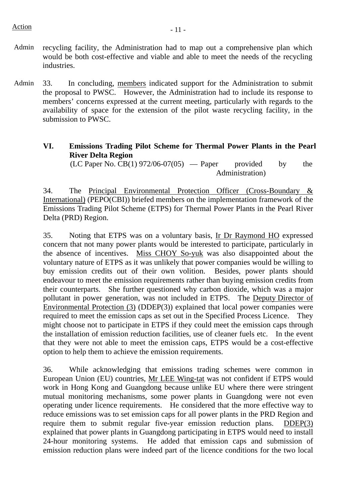- Admin recycling facility, the Administration had to map out a comprehensive plan which would be both cost-effective and viable and able to meet the needs of the recycling industries.
- Admin 33. In concluding, members indicated support for the Administration to submit the proposal to PWSC. However, the Administration had to include its response to members' concerns expressed at the current meeting, particularly with regards to the availability of space for the extension of the pilot waste recycling facility, in the submission to PWSC.

## **VI. Emissions Trading Pilot Scheme for Thermal Power Plants in the Pearl River Delta Region**

 $(LC$  Paper No.  $CB(1)$  972/06-07(05) — Paper provided by the Administration)

34. The Principal Environmental Protection Officer (Cross-Boundary & International) (PEPO(CBI)) briefed members on the implementation framework of the Emissions Trading Pilot Scheme (ETPS) for Thermal Power Plants in the Pearl River Delta (PRD) Region.

35. Noting that ETPS was on a voluntary basis, Ir Dr Raymond HO expressed concern that not many power plants would be interested to participate, particularly in the absence of incentives. Miss CHOY So-yuk was also disappointed about the voluntary nature of ETPS as it was unlikely that power companies would be willing to buy emission credits out of their own volition. Besides, power plants should endeavour to meet the emission requirements rather than buying emission credits from their counterparts. She further questioned why carbon dioxide, which was a major pollutant in power generation, was not included in ETPS. The Deputy Director of Environmental Protection (3) (DDEP(3)) explained that local power companies were required to meet the emission caps as set out in the Specified Process Licence. They might choose not to participate in ETPS if they could meet the emission caps through the installation of emission reduction facilities, use of cleaner fuels etc. In the event that they were not able to meet the emission caps, ETPS would be a cost-effective option to help them to achieve the emission requirements.

36. While acknowledging that emissions trading schemes were common in European Union (EU) countries, Mr LEE Wing-tat was not confident if ETPS would work in Hong Kong and Guangdong because unlike EU where there were stringent mutual monitoring mechanisms, some power plants in Guangdong were not even operating under licence requirements. He considered that the more effective way to reduce emissions was to set emission caps for all power plants in the PRD Region and require them to submit regular five-year emission reduction plans.  $\overrightarrow{DDEP(3)}$ explained that power plants in Guangdong participating in ETPS would need to install 24-hour monitoring systems. He added that emission caps and submission of emission reduction plans were indeed part of the licence conditions for the two local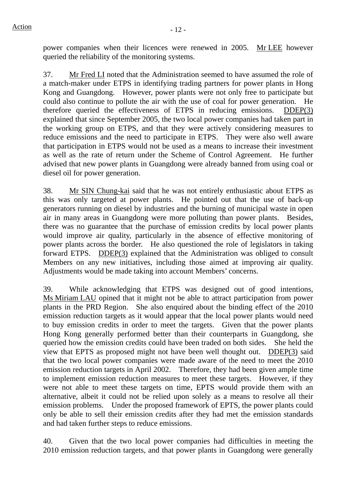power companies when their licences were renewed in 2005. Mr LEE however queried the reliability of the monitoring systems.

37. Mr Fred LI noted that the Administration seemed to have assumed the role of a match-maker under ETPS in identifying trading partners for power plants in Hong Kong and Guangdong. However, power plants were not only free to participate but could also continue to pollute the air with the use of coal for power generation. He therefore queried the effectiveness of ETPS in reducing emissions. DDEP(3) explained that since September 2005, the two local power companies had taken part in the working group on ETPS, and that they were actively considering measures to reduce emissions and the need to participate in ETPS. They were also well aware that participation in ETPS would not be used as a means to increase their investment as well as the rate of return under the Scheme of Control Agreement. He further advised that new power plants in Guangdong were already banned from using coal or diesel oil for power generation.

38. Mr SIN Chung-kai said that he was not entirely enthusiastic about ETPS as this was only targeted at power plants. He pointed out that the use of back-up generators running on diesel by industries and the burning of municipal waste in open air in many areas in Guangdong were more polluting than power plants. Besides, there was no guarantee that the purchase of emission credits by local power plants would improve air quality, particularly in the absence of effective monitoring of power plants across the border. He also questioned the role of legislators in taking forward ETPS. DDEP(3) explained that the Administration was obliged to consult Members on any new initiatives, including those aimed at improving air quality. Adjustments would be made taking into account Members' concerns.

39. While acknowledging that ETPS was designed out of good intentions, Ms Miriam LAU opined that it might not be able to attract participation from power plants in the PRD Region. She also enquired about the binding effect of the 2010 emission reduction targets as it would appear that the local power plants would need to buy emission credits in order to meet the targets. Given that the power plants Hong Kong generally performed better than their counterparts in Guangdong, she queried how the emission credits could have been traded on both sides. She held the view that EPTS as proposed might not have been well thought out. DDEP(3) said that the two local power companies were made aware of the need to meet the 2010 emission reduction targets in April 2002. Therefore, they had been given ample time to implement emission reduction measures to meet these targets. However, if they were not able to meet these targets on time, EPTS would provide them with an alternative, albeit it could not be relied upon solely as a means to resolve all their emission problems. Under the proposed framework of EPTS, the power plants could only be able to sell their emission credits after they had met the emission standards and had taken further steps to reduce emissions.

40. Given that the two local power companies had difficulties in meeting the 2010 emission reduction targets, and that power plants in Guangdong were generally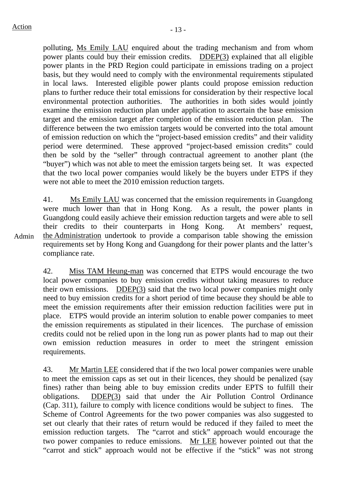polluting, Ms Emily LAU enquired about the trading mechanism and from whom power plants could buy their emission credits. DDEP(3) explained that all eligible power plants in the PRD Region could participate in emissions trading on a project basis, but they would need to comply with the environmental requirements stipulated in local laws. Interested eligible power plants could propose emission reduction plans to further reduce their total emissions for consideration by their respective local environmental protection authorities. The authorities in both sides would jointly examine the emission reduction plan under application to ascertain the base emission target and the emission target after completion of the emission reduction plan. The difference between the two emission targets would be converted into the total amount of emission reduction on which the "project-based emission credits" and their validity period were determined. These approved "project-based emission credits" could then be sold by the "seller" through contractual agreement to another plant (the "buyer") which was not able to meet the emission targets being set. It was expected that the two local power companies would likely be the buyers under ETPS if they were not able to meet the 2010 emission reduction targets.

41. Ms Emily LAU was concerned that the emission requirements in Guangdong were much lower than that in Hong Kong. As a result, the power plants in Guangdong could easily achieve their emission reduction targets and were able to sell their credits to their counterparts in Hong Kong. At members' request, the Administration undertook to provide a comparison table showing the emission requirements set by Hong Kong and Guangdong for their power plants and the latter's compliance rate.

42. Miss TAM Heung-man was concerned that ETPS would encourage the two local power companies to buy emission credits without taking measures to reduce their own emissions. DDEP(3) said that the two local power companies might only need to buy emission credits for a short period of time because they should be able to meet the emission requirements after their emission reduction facilities were put in place. ETPS would provide an interim solution to enable power companies to meet the emission requirements as stipulated in their licences. The purchase of emission credits could not be relied upon in the long run as power plants had to map out their own emission reduction measures in order to meet the stringent emission requirements.

43. Mr Martin LEE considered that if the two local power companies were unable to meet the emission caps as set out in their licences, they should be penalized (say fines) rather than being able to buy emission credits under EPTS to fulfill their obligations. DDEP(3) said that under the Air Pollution Control Ordinance (Cap. 311), failure to comply with licence conditions would be subject to fines. The Scheme of Control Agreements for the two power companies was also suggested to set out clearly that their rates of return would be reduced if they failed to meet the emission reduction targets. The "carrot and stick" approach would encourage the two power companies to reduce emissions. Mr LEE however pointed out that the "carrot and stick" approach would not be effective if the "stick" was not strong

Admin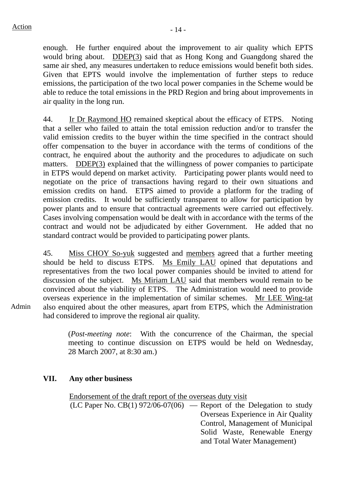enough. He further enquired about the improvement to air quality which EPTS would bring about. DDEP(3) said that as Hong Kong and Guangdong shared the same air shed, any measures undertaken to reduce emissions would benefit both sides. Given that EPTS would involve the implementation of further steps to reduce emissions, the participation of the two local power companies in the Scheme would be able to reduce the total emissions in the PRD Region and bring about improvements in air quality in the long run.

44. Ir Dr Raymond HO remained skeptical about the efficacy of ETPS. Noting that a seller who failed to attain the total emission reduction and/or to transfer the valid emission credits to the buyer within the time specified in the contract should offer compensation to the buyer in accordance with the terms of conditions of the contract, he enquired about the authority and the procedures to adjudicate on such matters. DDEP(3) explained that the willingness of power companies to participate in ETPS would depend on market activity. Participating power plants would need to negotiate on the price of transactions having regard to their own situations and emission credits on hand. ETPS aimed to provide a platform for the trading of emission credits. It would be sufficiently transparent to allow for participation by power plants and to ensure that contractual agreements were carried out effectively. Cases involving compensation would be dealt with in accordance with the terms of the contract and would not be adjudicated by either Government. He added that no standard contract would be provided to participating power plants.

45. Miss CHOY So-yuk suggested and members agreed that a further meeting should be held to discuss ETPS. Ms Emily LAU opined that deputations and representatives from the two local power companies should be invited to attend for discussion of the subject. Ms Miriam LAU said that members would remain to be convinced about the viability of ETPS. The Administration would need to provide overseas experience in the implementation of similar schemes. Mr LEE Wing-tat also enquired about the other measures, apart from ETPS, which the Administration had considered to improve the regional air quality.

(*Post-meeting note*: With the concurrence of the Chairman, the special meeting to continue discussion on ETPS would be held on Wednesday, 28 March 2007, at 8:30 am.)

#### **VII. Any other business**

Endorsement of the draft report of the overseas duty visit  $(LC$  Paper No.  $CB(1)$  972/06-07(06) — Report of the Delegation to study Overseas Experience in Air Quality Control, Management of Municipal Solid Waste, Renewable Energy and Total Water Management)

Admin